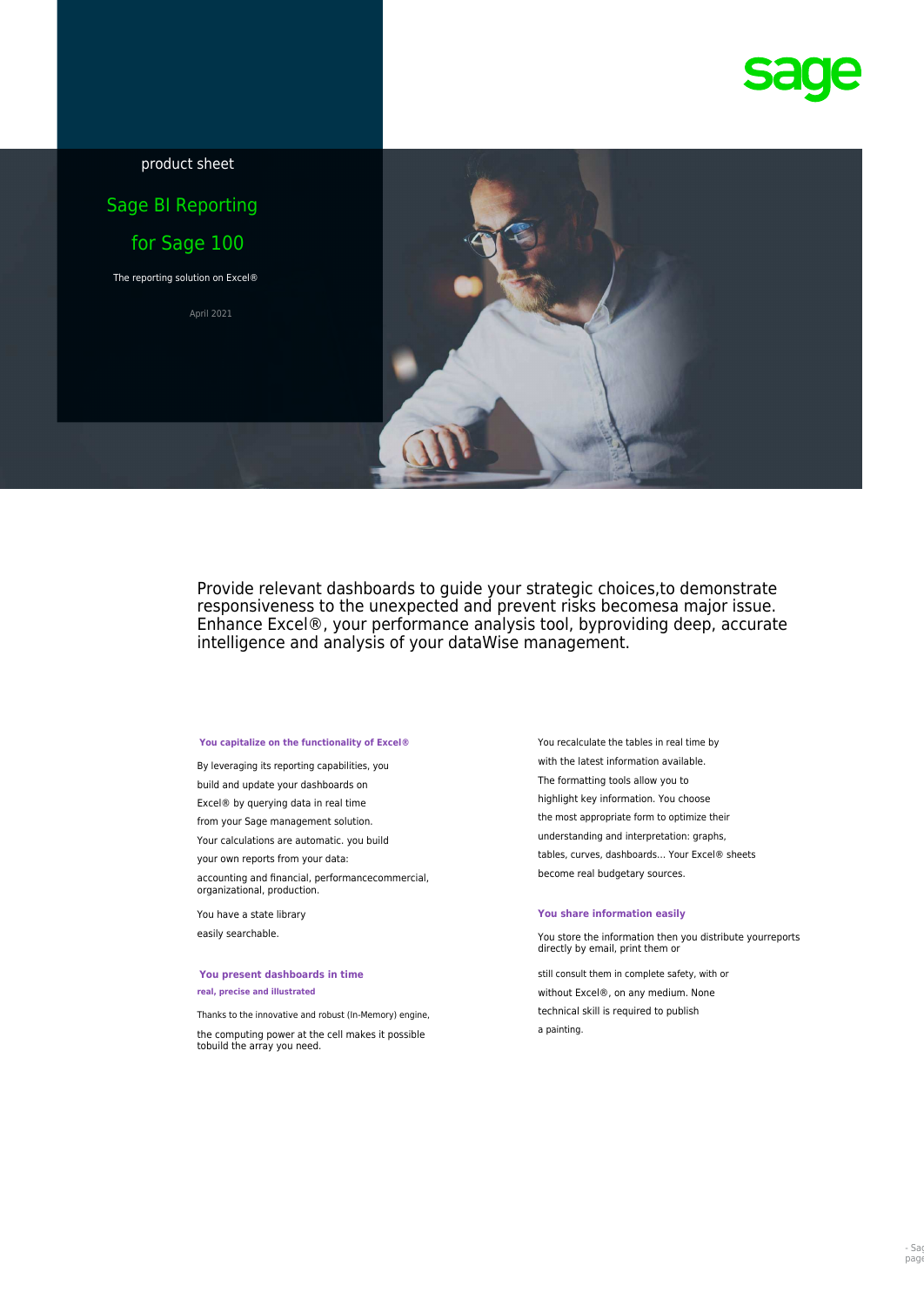

product sheet

# Sage BI Reporting for Sage 100

The reporting solution on Excel®

April 2021



Provide relevant dashboards to guide your strategic choices,to demonstrate responsiveness to the unexpected and prevent risks becomesa major issue. Enhance Excel®, your performance analysis tool, byproviding deep, accurate intelligence and analysis of your dataWise management.

The formatting tools allow you to build and update your dashboards on highlight key information. You choose Excel® by querying data in real time the most appropriate form to optimize their from your Sage management solution. understanding and interpretation: graphs, Your calculations are automatic. you build become real budgetary sources. accounting and financial, performancecommercial, organizational, production.

# You present dashboards in time still consult them in complete safety, with or

a painting. the computing power at the cell makes it possible tobuild the array you need.

You capitalize on the functionality of Excel® You recalculate the tables in real time by with the latest information available. By leveraging its reporting capabilities, you your own reports from your data: example and tables, curves, dashboards... Your Excel® sheets

### You have a state library **You share information easily**

easily searchable. You store the information then you distribute yourreports directly by email, print them or

**real, precise and illustrated real, precise and illustrated** without Excel®, on any medium. None technical skill is required to publish Thanks to the innovative and robust (In-Memory) engine,